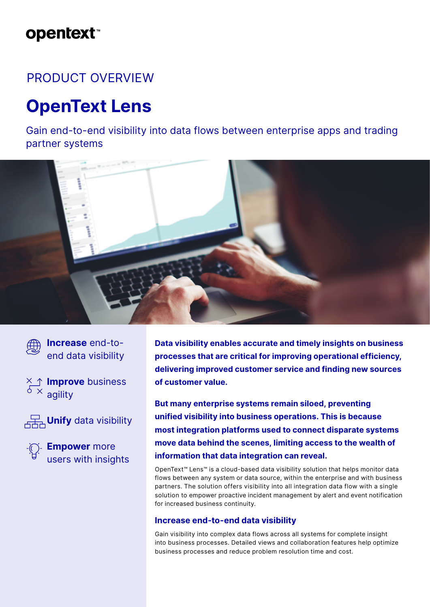# **opentext**™

### PRODUCT OVERVIEW

# **OpenText Lens**

Gain end-to-end visibility into data flows between enterprise apps and trading partner systems





**Increase** end-toend data visibility

**Improve** business  $6 \times 2$  agility



**Unify** data visibility



**Empower** more users with insights **Data visibility enables accurate and timely insights on business processes that are critical for improving operational efficiency, delivering improved customer service and finding new sources of customer value.**

**But many enterprise systems remain siloed, preventing unified visibility into business operations. This is because most integration platforms used to connect disparate systems move data behind the scenes, limiting access to the wealth of information that data integration can reveal.**

OpenText™ Lens™ is a cloud-based data visibility solution that helps monitor data flows between any system or data source, within the enterprise and with business partners. The solution offers visibility into all integration data flow with a single solution to empower proactive incident management by alert and event notification for increased business continuity.

#### **Increase end-to-end data visibility**

Gain visibility into complex data flows across all systems for complete insight into business processes. Detailed views and collaboration features help optimize business processes and reduce problem resolution time and cost.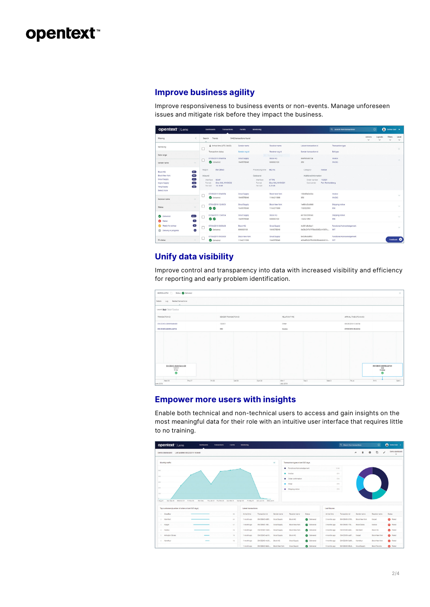## opentext<sup>®</sup>

### **Improve business agility**

Improve responsiveness to business events or non-events. Manage unforeseen issues and mitigate risk before they impact the business.

| opentext Lens        |                                                | Dashboards<br><b>Transactions</b>       | <b>Events</b><br>Monitoring |                            |                                             | Q. Soarch from transactions       | $\odot$                 |                         | <b>O</b> Demouser v     |                       |
|----------------------|------------------------------------------------|-----------------------------------------|-----------------------------|----------------------------|---------------------------------------------|-----------------------------------|-------------------------|-------------------------|-------------------------|-----------------------|
| Fitering             |                                                | Search<br>Trends                        | 3442 transactions found     |                            |                                             |                                   | Actions<br>$\checkmark$ | Lavouts<br>$\checkmark$ | Fitters<br>$\checkmark$ | Level<br>$\checkmark$ |
| Narrow by            |                                                | + Arrival time (UTC-04:00)<br>□         | Sender name                 | <b>Repelver name</b>       | Liaison transaction id                      | Transaction type                  |                         |                         |                         | $\leq$                |
| Date range           |                                                | Transaction status                      | Sender org id               | Receiver org id            | Sender transaction id                       | Edi type                          |                         |                         |                         |                       |
|                      |                                                | 07/05/2019 09:49:54                     | Grout Supply                | Block HQ                   | <b>b66f65cdd724</b>                         | Invoice                           |                         |                         |                         | $\sim$                |
| Sender name          | $\vee$                                         | <b>O</b> Delivered                      | 1649578348                  | 600000100                  | 350                                         | <b>INVOIC</b>                     |                         |                         |                         |                       |
| Block HQ             | (66)                                           | EW-DEMO<br>Region                       | Processing time             | 982 ms                     | Category<br>Invoice                         |                                   |                         |                         |                         |                       |
| Block New York       | $\left( \frac{\partial}{\partial x^2} \right)$ | Inbound                                 | Outbound                    |                            | Additional Information                      |                                   |                         |                         |                         |                       |
| Grout Supply         | $\boxed{m}$                                    | SOAP<br>Interface                       | Interface                   | <b>HTTPS</b>               | 132021<br>Order number                      |                                   |                         |                         |                         |                       |
| Keyes Supply         | 256                                            | <b>IDoo XML INVOICO2</b><br>Format      | Format                      | Dog XML INVOICO1           | Cost oenter<br>Port Reinholdberg            |                                   |                         |                         |                         |                       |
| Yang Supply          | $\overline{a}$                                 | 16,1818<br>File size                    | File size                   | 8.25 kB                    |                                             |                                   |                         |                         |                         |                       |
| Select more          |                                                | 07/05/2019 09:49:54                     | Grout Supply                | Block New York             | 160b88a0c03a                                | Invoice                           |                         |                         |                         |                       |
| Receiver name        | $\curvearrowright$                             | <b>C</b> Delivered                      | 1649578348                  | 1164211998                 | 350                                         | <b>INVOIC</b>                     |                         |                         |                         | $\sim$                |
|                      |                                                | 07/04/2019 12:49:54                     | Grout Supply                | Block New York             | 1e664c0cb9b9                                | Shipping notice                   |                         |                         |                         |                       |
| <b>Status</b>        | $\checkmark$                                   | 00                                      | 1649578348                  | 1164211998                 | 132022350                                   | 856                               |                         |                         |                         | $\sim$                |
| <b>O</b> Delivered   | 3411                                           | 07/04/2019 12:49:54                     | Grout Supply                | Block HQ                   | 80190c3995dc                                | Shipping notice                   |                         |                         |                         |                       |
| <b>C3</b> Failed     | $\overline{12}$                                | о<br>00                                 | 1649578348                  | 600000100                  | 132021350                                   | 856                               |                         |                         |                         | $\checkmark$          |
| Ready for pickup     | $\overline{10}$                                | 07/04/2019 09:50:03                     | Block HQ                    | <b>Grout Supply</b>        | 4c361d6o6ac1                                | Functional Acknowledgement        |                         |                         |                         |                       |
| Delivery in progress | $\bullet$                                      | г<br>Delivered                          | 600000100                   | 1649578348                 | 0a59c547b7f78bd3065c44587c                  | 997                               |                         |                         |                         | $\checkmark$          |
|                      |                                                |                                         | <b>Block New York</b>       |                            |                                             |                                   |                         |                         |                         |                       |
| FA status            | $\wedge$ .                                     | 07/04/2019 09:50:00<br><b>Delivered</b> | 1164211998                  | Grout Supply<br>1649578348 | 8eScrecogros<br>40948fb2b7fb335cf864ado661e | Functional Acknowledgement<br>997 |                         |                         |                         | Feedback <sup>8</sup> |
|                      |                                                |                                         |                             |                            |                                             |                                   |                         |                         |                         |                       |

### **Unify data visibility**

Improve control and transparency into data with increased visibility and efficiency for reporting and early problem identification.



#### **Empower more users with insights**

Enable both technical and non-technical users to access and gain insights on the most meaningful data for their role with an intuitive user interface that requires little to no training.

| opentext Lens<br><b>Davidoards</b><br><b>Transactions</b>                                                                                 | Events     | Monitoring                        |                                  |                     |                                    |                    |               | Q Search from transactions |                | $\circ$               | <b>O</b> Demo User v           |
|-------------------------------------------------------------------------------------------------------------------------------------------|------------|-----------------------------------|----------------------------------|---------------------|------------------------------------|--------------------|---------------|----------------------------|----------------|-----------------------|--------------------------------|
| Last updated: 08/22/2019 16:04:49<br>Demo dashboard                                                                                       |            |                                   |                                  |                     |                                    |                    |               |                            | ×.             | G<br>$\circ$<br>╭     | Demo dashboard<br>$\checkmark$ |
| Monthly traffic                                                                                                                           |            |                                   |                                  | At                  | Transaction types in last 365 days |                    |               |                            |                |                       |                                |
| 500                                                                                                                                       |            |                                   |                                  |                     | · Functional Acknowledgement       |                    | 1148          |                            |                |                       |                                |
|                                                                                                                                           |            |                                   |                                  |                     | · Invoice                          |                    |               | 674                        |                |                       |                                |
| 600                                                                                                                                       |            |                                   |                                  |                     | · Order confirmation               |                    |               | 574                        |                |                       |                                |
| 300                                                                                                                                       |            |                                   |                                  |                     | · Order                            |                    |               | 573                        |                |                       |                                |
| 200                                                                                                                                       |            |                                   |                                  |                     | · Shipping notice                  |                    |               | 573                        |                |                       |                                |
| Thu Jan 31 Thu Feb 28<br>ri Aug 31<br>Sun Sep 30<br>Wed Oct 31 Fri Nov 30<br>Mon Dec<br>Top customers (number of orders in last 365 days) | Sun Mar 31 | Tue Apr 30<br>Latest transactions | Fri May 31 Sun Jun 30 Wed Jul 31 |                     |                                    |                    | Last failures |                            |                |                       |                                |
| 1 GreatBuy                                                                                                                                | 65         | Arrival time                      | Transaction id                   | Sender name         | Receiver name                      | <b>Status</b>      | Arrival time  | <b>Transaction id</b>      | Sender name    | Receiver name         | Status                         |
| 2 Mal-Mart                                                                                                                                | 64.        | 1 month ago                       | EW-DEMO-b66f                     | <b>Grout Supply</b> | Block HQ                           | <b>O</b> Delivered | 2 months ago  | EW-DEMO-31f9               | Block New York | Karget                | <b>a</b> Falled                |
| 3 Karpet                                                                                                                                  | 57         | 1 month ago                       | EW-DEMO-160                      | <b>Grout Supply</b> | <b>Block New York</b>              | <b>Delivered</b>   | 2 months ago  | EW-DEMO-17d                | Block Dallas   | Kostco                | <b>a</b> Falled                |
| 4 Kostco                                                                                                                                  | 54         | 1 month ago                       | EW-DEMO-1468                     | Grout Supply        | <b>Bock New York</b>               | <b>Delivered</b>   | 3 months ago  | EW-DEMO-AMC.               | MAI-MArt       | Block HQ              | <b>O</b> Fated                 |
|                                                                                                                                           |            | 1 month ago                       | EW-DEMO-ab19. Grout Supply       |                     | Block HQ                           | <b>Delivered</b>   | 4 months ago  | EW-DEMO-ce81 Karoet        |                | <b>Block New York</b> |                                |
| 5 Arlington Stores<br>$\frac{1}{2}$                                                                                                       | 19         |                                   |                                  |                     |                                    |                    |               |                            |                |                       | <b>O</b> Falled                |
| 6 Karrefour<br>$-$                                                                                                                        | 15         | 1 month ago                       | EW-DEMO-4c36 Block HQ            |                     | Grout Supply                       | Delivered          | 4 months ago  | EW-DEMO-5e90. Karrefour    |                | Block New York        | <b>O</b> Falled                |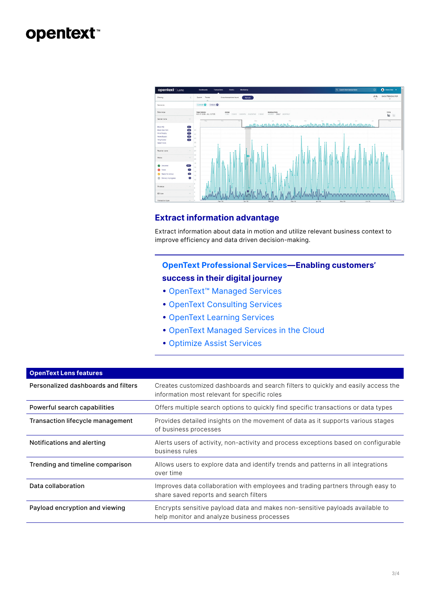# opentext<sup>®</sup>



### **Extract information advantage**

Extract information about data in motion and utilize relevant business context to improve efficiency and data driven decision-making.

### **[OpenText Professional Services](https://www.opentext.com/products-and-solutions/services)—Enabling customers'**

### **success in their digital journey**

- [OpenText™ Managed Services](https://www.opentext.com/products-and-solutions/services/managed-services)
- [OpenText Consulting Services](https://www.opentext.com/products-and-solutions/services/consulting-services)
- [OpenText Learning Services](https://www.opentext.com/products-and-solutions/services/training-and-learning-services)
- [OpenText Managed Services in the Cloud](https://www.opentext.com/products-and-solutions/services/managed-services/cloud-managed-services)
- [Optimize Assist Services](https://www.opentext.com/products-and-solutions/services/consulting-services/optimize-managed-services)

| <b>OpenText Lens features</b>       |                                                                                                                                   |  |  |  |  |  |
|-------------------------------------|-----------------------------------------------------------------------------------------------------------------------------------|--|--|--|--|--|
| Personalized dashboards and filters | Creates customized dashboards and search filters to quickly and easily access the<br>information most relevant for specific roles |  |  |  |  |  |
| Powerful search capabilities        | Offers multiple search options to quickly find specific transactions or data types                                                |  |  |  |  |  |
| Transaction lifecycle management    | Provides detailed insights on the movement of data as it supports various stages<br>of business processes                         |  |  |  |  |  |
| Notifications and alerting          | Alerts users of activity, non-activity and process exceptions based on configurable<br>business rules                             |  |  |  |  |  |
| Trending and timeline comparison    | Allows users to explore data and identify trends and patterns in all integrations<br>over time                                    |  |  |  |  |  |
| Data collaboration                  | Improves data collaboration with employees and trading partners through easy to<br>share saved reports and search filters         |  |  |  |  |  |
| Payload encryption and viewing      | Encrypts sensitive payload data and makes non-sensitive payloads available to<br>help monitor and analyze business processes      |  |  |  |  |  |
|                                     |                                                                                                                                   |  |  |  |  |  |